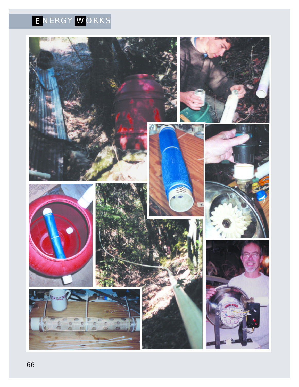# E NERGY WORKS

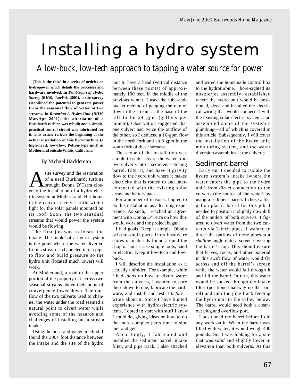# Installing a hydro system

*A low-buck, low-tech approach to tapping a water source for power*

**[This is the third in a series of articles on hydropower which details the processes and hardware involved. In** *Do-it-Yourself Hydro Survey* **(***BHM***, Jan/Feb 2001), a site survey established the potential to generate power from the seasonal flow of water in two streams. In** *Restoring A Hydro Unit* **(***BHM***, Mar/Apr 2001), the alternator of a Burkhardt turbine was rebuilt and a simple, practical control circuit was fabricated for it. This article reflects the beginning of the actual installation of this hydroturbine (a high-head, low-flow, Pelton-type unit) at Motherland outside Willits, California.]**

#### *By Michael Hackleman*

tive survey and the restoration<br>of a used Burkhardt turbine<br>er to the installation of a hydro-elecsite survey and the restoration of a used Burkhardt turbine brought Donna D'Terra clostric system at MotherLand. Her home in the canyon receives little winter light for the solar panels mounted on its roof. Soon, the two seasonal streams that would power the system would be flowing.

The first job was to locate the intake. The intake of a hydro system is the point where the water diverted from a stream is channeled into a pipe to flow and build pressure so the hydro unit (located much lower) will work.

At Motherland, a road to the upper portion of the property cut across two seasonal streams above their point of convergence lower down. The outflow of the two culverts used to channel the water under the road seemed a natural point to divert water while avoiding some of the hazards and challenges of installing an in-stream intake.

Using the hose-and-gauge method, I found the 300+ foot distance between the intake and the site of the hydro

unit to have a head (vertical distance between these points) of approximately 100 feet. In the middle of the previous winter, I used the tube-andbucket method of gauging the rate of flow in the stream at the base of the hill to be 24 gpm (gallons per minute). Observation suggested that one culvert had twice the outflow of the other, so I deduced a 16-gpm flow in the north fork and an 8 gpm in the south fork of these streams.

The scope of the installation was simple to state. Divert the water from two culverts into a sediment-catching barrel, filter it, and have it gravity flow to the hydro unit where it makes electricity that is routed to and interconnected with the existing solar array and battery pack.

For a number of reasons, I opted to do this installation as a learning experience. As such, I reached an agreement with Donna D'Terra on how this would work and the project began.

I had goals. Keep it simple. Obtain off-the-shelf parts from hardware stores or materials found around the shop or house. Use simple tools, hand or electric. Keep it low-tech and lowbuck.

I will describe the installation as it actually unfolded. For example, while I had *ideas* on how to divert water from the culverts, I wanted to pare these down to one, fabricate the hardware, and install and test it *before* I wrote about it. Since I have limited experience with hydro-electric systems, I opted to start with stuff I knew I could do, giving ideas on how to do the more complex parts time to simmer and gel.

Accordingly, I fabricated and installed the sediment barrel, intake filter, and pipe track. I also attached

and wired the homemade control box to the hydroturbine, bore-sighted its nozzle/jet assembly, established where the hydro unit would be positioned, sized and installed the electrical wiring that would connect it with the existing solar-electric system, and assembled some of the system's plumbing—all of which is covered in this article. Subsequently, I will cover the installation of the hydro unit, monitoring system, and the water diversion assemblies at the culverts.

## Sediment barrel

Early on, I decided to isolate the hydro system's intake (where the water enters the pipe to the hydro unit) from *direct* connection to the culverts (the source of the water) by using a sediment barrel. I chose a 55 gallon plastic barrel for this job. I needed to position it slightly downhill of the outlets of both culverts. I figured to divert water from the two culverts via 2-inch pipes. I wanted to direct the outflow of these pipes at a *shallow* angle onto a screen covering the barrel's top. This should ensure that leaves, rocks, and other material in this swift flow of water would fly across and off the barrel's screen while the water would fall through it and fill the barrel. In turn, this water would be sucked through the intake filter (positioned halfway up the barrel) and into the pipe track feeding the hydro unit in the valley below. The barrel would need both a cleanout plug and overflow port.

I positioned the barrel before I did any work on it. When the barrel was filled with water, it would weigh 400 pounds. So, I was looking for a site that was *solid* and slightly lower in elevation than both culverts. At this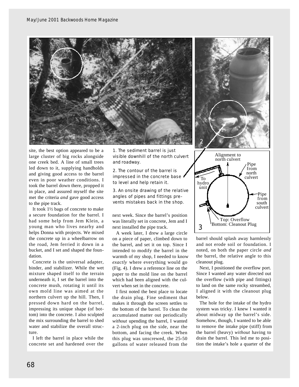

site, the best option appeared to be a large cluster of big rocks alongside one creek bed. A line of small trees led down to it, supplying handholds and giving good access to the barrel even in poor weather conditions. I took the barrel down there, propped it in place, and assured myself the site met the criteria *and* gave good access to the pipe track.

It took 1½ bags of concrete to make a secure foundation for the barrel. I had some help from Jem Klein, a young man who lives nearby and helps Donna with projects. We mixed the concrete up in a wheelbarrow on the road, Jem ferried it down in a bucket, and I set and shaped the foundation.

Concrete is the universal adapter, binder, and stabilizer. While the wet mixture shaped itself to the terrain underneath it, I set the barrel into the concrete mush, rotating it until its own mold line was aimed at the northern culvert up the hill. Then, I pressed down hard on the barrel, impressing its unique shape (of bottom) into the concrete. I also sculpted the mix surrounding the barrel to shed water and stabilize the overall structure.

I left the barrel in place while the concrete set and hardened over the

1. The sediment barrel is just visible downhill of the north culvert and roadway.

2. The contour of the barrel is impressed in the concrete base to level and help retain it.

3. An onsite drawing of the relative angles of pipes and fittings prevents mistakes back in the shop.

next week. Since the barrel's position was literally set in concrete, Jem and I next installed the pipe track.

A week later, I drew a large circle on a piece of paper, climbed down to the barrel, and set it on top. Since I intended to modify the barrel in the warmth of my shop, I needed to know *exactly* where everything would go (Fig. 4). I drew a reference line on the paper to the mold line on the barrel which had been aligned with the culvert when set in the concrete.

I first noted the best place to locate the drain plug. Fine sediment that makes it through the screen settles to the bottom of the barrel. To clean the accumulated matter out periodically *without* upending the barrel, I wanted a 2-inch plug on the side, near the bottom, and facing the creek. When this plug was unscrewed, the 25-50 gallons of water released from the





barrel should splash away harmlessly and not erode soil or foundation. I noted, on both the paper circle *and* the barrel, the relative angle to this cleanout plug.

Next, I positioned the overflow port. Since I wanted any water directed out the overflow (with pipe and fittings) to land on the same rocky streambed, I aligned it with the cleanout plug below.

The hole for the intake of the hydro system was tricky. I knew I wanted it about midway up the barrel's side. Somehow, though, I wanted to be able to remove the intake pipe (stiff) from the barrel (heavy) *without* having to drain the barrel. This led me to position the intake's hole a quarter of the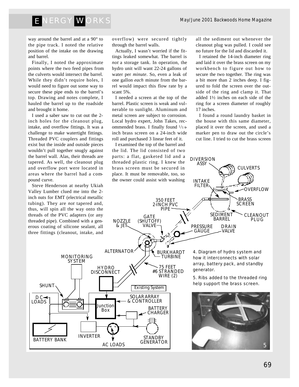## E NERGY WORKS

way around the barrel and at a 90° to the pipe track. I noted the relative position of the intake on the drawing and barrel.

Finally, I noted the approximate points where the two feed pipes from the culverts would intersect the barrel. While they didn't require holes, I would need to figure out some way to secure these pipe ends to the barrel's top. Drawing and notes complete, I hauled the barrel up to the roadside and brought it home.

I used a saber saw to cut out the 2 inch holes for the cleanout plug, intake, and overflow fittings. It was a challenge to make watertight fittings. Threaded PVC couplers and fittings exist but the inside and outside pieces wouldn't pull together snugly against the barrel wall. Alas, their threads are tapered. As well, the cleanout plug and overflow port were located in areas where the barrel had a compound curve.

Steve Henderson at nearby Ukiah Valley Lumber clued me into the 2 inch nuts for EMT (electrical metallic tubing). They are *not* tapered and, thus, will spin all the way onto the threads of the PVC adapters (or any threaded pipe). Combined with a generous coating of silicone sealant, all three fittings (cleanout, intake, and overflow) were secured tightly through the barrel walls.

Actually, I wasn't worried if the fittings leaked somewhat. The barrel is *not* a storage tank. In operation, the hydro unit will want 22-24 gallons of water per *minute*. So, even a leak of one gallon *each* minute from the barrel would impact this flow rate by a scant 5%.

I needed a screen at the top of the barrel. Plastic screen is weak and vulnerable to sunlight. Aluminum and metal screen are subject to corrosion. Local hydro expert, John Takes, recommended brass. I finally found <sup>1</sup>/1 6 inch brass screen on a 24-inch wide roll and purchased 3 linear feet of it.

I examined the top of the barrel and the lid. The lid consisted of two parts: a flat, gasketed lid and a threaded plastic ring. I knew the brass screen must be secured in place. It must be removable, too, so the owner could assist with washing

all the sediment out whenever the cleanout plug was pulled. I could see no future for the lid and discarded it.

I retained the 14-inch diameter ring and laid it over the brass screen on my workbench to figure out how to secure the two together. The ring was a bit more than 2 inches deep. I figured to fold the screen over the outside of the ring and clamp it. That added 1½ inches on each side of the ring for a screen diameter of roughly 17 inches.

I found a round laundry basket in the house with this same diameter, placed it over the screen, and used a marker pen to draw out the circle's cut line. I tried to cut the brass screen

DIVERSION ASSY

**CULVERTS** 

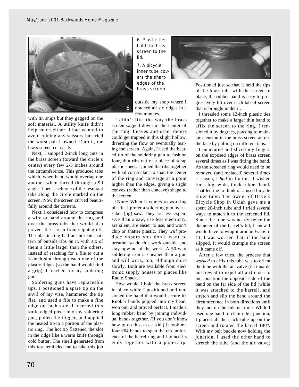

with tin snips but they gagged on the soft material. A utility knife didn't help much either. I had wanted to avoid ruining any scissors but tried the worst pair I owned. Darn it, the brass screen cut easily.

Next, I snipped 2-inch long cuts in the brass screen (toward the circle's center) every few 2-3 inches around the circumference. This produced tabs which, when bent, would overlap one another when forced through a 90 angle. I bent each one of the resultant tabs along the circle marked on the screen. Now the screen curved beautifully around the corners.

Next, I considered how to compress a wire or band around the ring and over the brass tabs that would also prevent the screen from slipping off. The plastic ring had an intricate pattern of outside ribs on it, with six of them a little larger than the others. Instead of reaching for a file to cut a ¼-inch slot through each one of the plastic ridges (so the band would find a grip), I reached for my soldering gun.

Soldering guns have replaceable tips. I positioned a spare tip on the anvil of my vise, hammered the tip flat, and used a file to make a fine edge on each side. I inserted this knife-edged piece into my soldering gun, pulled the trigger, and applied the heated tip to a portion of the plastic ring. The hot tip flattened the slot in the ridge like a warm knife through cold butter. The smell generated from this test reminded me to take this job

6. Plastic ties hold the brass screen to the lid.

7. A bicycle inner tube covers the sharp edges of the brass screen.

outside my shop where I notched all six ridges in a few minutes.

I didn't like the way the brass screen sagged down in the center of the ring. Leaves and other debris could get trapped in this slight hollow, diverting the flow or eventually tearing the screen. Again, I used the heated tip of the soldering gun to fashion four, thin ribs out of a piece of scrap plastic sheet. I joined the ribs together with silicon sealant to span the center of the ring and converge at a point higher than the edges, giving a slight convex (rather than concave) shape to the screen.

[Note: When it comes to working plastic, I prefer a soldering gun over a saber (jig) saw. They are less expensive than a saw, use less electricity, are silent, are easier to use, and won't chip or shatter plastic. They *will* produce vapors you don't want to breathe, so do this work outside and stay upwind of the work. A 50-watt soldering iron is cheaper than a gun and will work, too, although more slowly. Both are available from electronic supply houses or places like Radio Shack.]

How would I hold the brass screen in place while I positioned and tensioned the band that would secure it? Rubber bands popped into my head, won out, and proved perfect. I made a long rubber band by joining individual bands together. (If you don't know how to do this, ask a kid.) It took me four #64 bands to span the circumference of the barrel ring and I joined its ends together with a paperclip.



Positioned just so that it held the tips of the brass tabs with the screen in place, the rubber band is easy to progressively lift over each tab of screen that is brought under it.

I threaded some 12-inch plastic ties together to make a larger thin band to affix the screen to the ring. I tensioned it by degrees, pausing to maintain tension in the brass screen across the face by pulling on different tabs.

I punctured and sliced my fingers on the exposed edges of brass screen several times as I was fitting the band. As the screened ring would need to be removed (and replaced) several times a season, I *had* to fix this. I wished for a big, wide, thick rubber band. That led me to think of a used bicycle inner tube. The owner of Dave's Bicycle Shop in Ukiah gave me a spent 26-inch tube and I tried several ways to attach it to the screened lid. Since the tube was nearly twice the diameter of the barrel's lid, I knew I would have to wrap it around *twice* to fit. I was worried that, if the band slipped, it would crumple the screen as it came off.

After a few tries, the process that *worked* to affix this tube was to orient the tube with the air valve (its innards unscrewed to expel all air) close to me, position the opposite side of the band on the far side of the lid (while it was attached to the barrel), and stretch and slip the band around the circumference in both directions until they met on the side near me. While I used one hand to clamp this junction, I placed all the slack tube up on the screen and rotated the barrel 180°. With my belt buckle now holding the junction, I used the other hand to stretch the tube (and the air valve)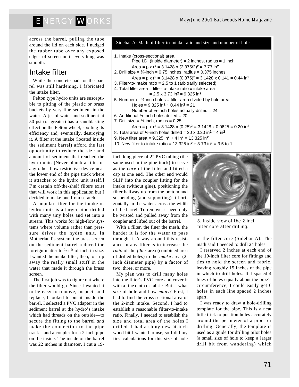across the barrel, pulling the tube around the lid on each side. I nudged the rubber tube over any exposed edges of screen until everything was smooth.

#### Intake filter

While the concrete pad for the barrel was still hardening, I fabricated the intake filter.

Pelton type hydro units are susceptible to pitting of the plastic or brass buckets by very fine sediment in the water. A jet of water and sediment at 50 psi (or greater) has a sandblasting effect on the Pelton wheel, spoiling its efficiency and, eventually, destroying it. A filter at the intake (located inside the sediment barrel) afford the last opportunity to reduce the size and amount of sediment that reached the hydro unit. [Never plumb a filter or any other flow-restrictive device near the lower end of the pipe track where it attaches to the hydro unit itself.] I'm certain off-the-shelf filters exist that will work in this application but I decided to make one from scratch.

A popular filter for the intake of hydro units is a larger pipe drilled with many tiny holes and set into a stream. This works for high-flow systems where volume rather than pressure drives the hydro unit. In Motherland's system, the brass screen on the sediment barrel reduced the foreign matter to  $1/16<sup>th</sup>$  of inch in size. I wanted the intake filter, then, to strip away the really small stuff in the water that made it through the brass screen.

The first job was to figure out where the filter would go. Since I wanted it to be easy to remove, inspect, and replace, I looked to put it inside the barrel. I selected a PVC adapter in the sediment barrel at the hydro's intake which had threads on the outside—to secure the fitting to the barrel *and* make the connection to the pipe track—and a coupler for a 2-inch pipe on the inside. The inside of the barrel was 22 inches in diameter. I cut a 19-

#### Sidebar A: Math of filter-to-intake ratio and size and number of holes.

1. Intake (cross-sectional) area. Pipe I.D. (inside diameter) = 2 inches, radius = 1 inch Area = p x r **2** = 3.1428 x (2.375/2) **2** = 3.73 in**2** 2. Drill size =  $\frac{3}{4}$ -inch = 0.75 inches, radius = 0.375 inches Area = p x r **2** = 3.1428 x (0.375) **2** = 3.1428 x 0.141 = 0.44 in**2** 3. Filter-to-Intake ratio = 2.5 to 1 (arbitrarily selected) 4. Total filter area = filter-to-intake ratio x intake area  $= 2.5 \times 3.73$  in<sup>2</sup>  $= 9.325$  in<sup>2</sup> 5. Number of  $\frac{3}{4}$ -inch holes = filter area divided by hole area Holes = 9.325 in**2** ÷ 0.44 in**2** = 21 Number of  $\frac{3}{4}$ -inch holes actually drilled = 24 6. Additional  $\frac{1}{2}$ -inch holes drilled = 20 7. Drill size =  $\frac{1}{2}$ -inch, radius = 0.25 Area = p x r **2** = 3.1428 x (0.25) **2** = 3.1428 x 0.0625 = 0.20 in**2** 8. Total area of  $\frac{1}{2}$ -inch holes drilled = 20 x 0.20 in<sup>2</sup> = 4 in<sup>2</sup> 9. New filter area = 9.325 in**2** + 4 in**2** = 13.325 in**2** 10. New filter-to-intake ratio = 13.325 in**2** ÷ 3.73 in**2** = 3.5 to 1

inch long piece of 2" PVC tubing (the same used in the pipe track) to serve as the *core* of the filter and fitted a cap at one end. The other end would SLIP into the coupler fitting for the intake (without glue), positioning the filter halfway up from the bottom and suspending (and supporting) it horizontally in the water across the width of the barrel. To remove, it need only be twisted and pulled away from the coupler and lifted out of the barrel.

With a filter, the finer the mesh, the harder it is for the water to pass through it. A way around this resistance in any filter is to increase the *ratio* of the *filter* area (combined area of drilled holes) to the *intake* area (2 inch diameter pipe) by a factor of two, three, or more.

My plan was to drill many holes into the filter's PVC core and cover it with a fine cloth or fabric. But— what *size* of hole and how *many*? First, I had to find the cross-sectional area of the 2-inch intake. Second, I had to establish a reasonable filter-to-intake ratio. Finally, I needed to establish the size and total area of the holes I drilled. I had a shiny new ¾-inch wood bit I wanted to use, so I did my first calculations for this size of hole



8. Inside view of the 2-inch filter core after drilling.

in the filter core (Sidebar A). The math said I needed to drill 24 holes.

I reserved 2 inches at each end of the 19-inch filter core for fittings and ties to hold the screen and fabric, leaving roughly 15 inches of the pipe in which to drill holes. If I spaced 4 lines of holes equally about the pipe's circumference, I could easily get 6 holes in each line spaced 2 inches apart.

I was ready to draw a hole-drilling template for the pipe. This is a neat little trick to position holes accurately around the perimeter of a pipe for drilling. Generally, the template is used as a guide for drilling pilot holes (a small size of hole to keep a larger drill bit from wandering) which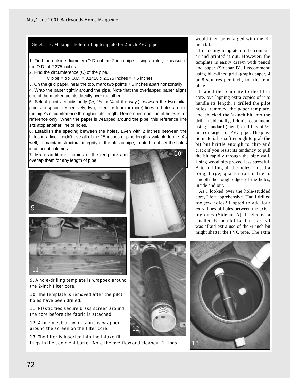#### Sidebar B: Making a hole-drilling template for 2-inch PVC pipe

1. Find the outside diameter (O.D.) of the 2-inch pipe. Using a ruler, I measured the O.D. at 2.375 inches.

2. Find the circumference (C) of the pipe.

C pipe =  $p \times$  O.D. = 3.1428  $\times$  2.375 inches = 7.5 inches

3. On the grid paper, near the top, mark two points 7.5 inches apart horizontally. 4. Wrap the paper tightly around the pipe. Note that the overlapped paper aligns one of the marked points directly over the other.

5. Select points equidistantly (½, <sup>1</sup>/3, or ¼ of the way.) *between* the two initial points to space, respectively, two, three, or four (or more) lines of holes around the pipe's circumference throughout its length. Remember: one line of holes is for reference only. When the paper is wrapped around the pipe, this reference line sits atop another line of holes.

6. Establish the spacing between the holes. Even with 2 inches between the holes in a line, I didn't use all of the 15 inches of pipe length available to me. As well, to maintain structural integrity of the plastic pipe, I opted to offset the holes in adjacent columns.

7. Make additional copies of the template and overlap them for any length of pipe.





9. A hole-drilling template is wrapped around the 2-inch filter core.

10. The template is removed after the pilot holes have been drilled.

11. Plastic ties secure brass screen around the core before the fabric is attached.

12. A fine mesh of nylon fabric is wrapped around the screen on the filter core.

13. The filter is inserted into the intake fit-

tings in the sediment barrel. Note the overflow and cleanout fittings.

12



I made my template on the computer and printed it out. However, the template is easily drawn with pencil and paper (Sidebar B). I recommend using blue-lined grid (graph) paper, 4 or 8 squares per inch, for the template.

I taped the template to the filter core, overlapping extra copies of it to handle its length. I drilled the pilot holes, removed the paper template, and chucked the ¾-inch bit into the drill. Incidentally, I don't recommend using standard (metal) drill bits of ½ inch or larger for PVC pipe. The plastic material is soft enough to grab the bit but brittle enough to chip and crack if you resist its tendency to pull the bit rapidly through the pipe wall. Using wood bits proved less stressful. After drilling all the holes, I used a long, large, quarter-round file to smooth the rough edges of the holes, inside and out.

10

As I looked over the hole-studded core, I felt apprehensive. Had I drilled too *few* holes? I opted to add four *more* lines of holes between the existing ones (Sidebar A). I selected a smaller, ½-inch bit for this job as I was afraid extra use of the 3⁄4-inch bit might shatter the PVC pipe. The extra

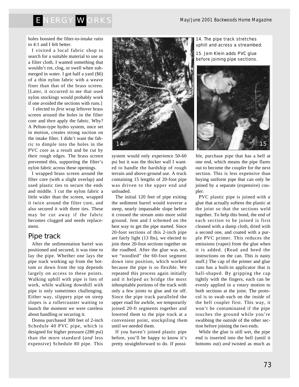holes boosted the filter-to-intake ratio to 4:1 and I felt better.

I visited a local fabric shop to search for a suitable material to use as a filter cloth. I wanted something that wouldn't rot, clog, or swell when submerged in water. I got half a yard (\$6) of a thin nylon fabric with a weave finer than that of the brass screen. [Later, it occurred to me that used nylon stockings would probably work if one avoided the sections with runs.]

I elected to *first* wrap leftover brass screen around the holes in the filter core and *then* apply the fabric. Why? A Pelton-type hydro system, once set in motion, creates strong suction on the intake filter. I didn't want the fabric to dimple into the holes in the PVC core as a result and be cut by their rough edges. The brass screen prevented this, supporting the filter's nylon fabric across these openings.

I wrapped brass screen around the filter core (with a slight overlap) and used plastic ties to secure the ends and middle. I cut the nylon fabric a little wider than the screen, wrapped it twice around the filter core, and also secured it with three ties. These may be cut away if the fabric becomes clogged and needs replacement.

## Pipe track

After the sedimentation barrel was positioned and secured, it was time to lay the pipe. Whether one lays the pipe track working up from the bottom or down from the top depends largely on access to these points. Walking uphill with pipe is lots of work, while walking downhill with pipe is only sometimes challenging. Either way, slippery pipe on steep slopes is a rollercoaster waiting to launch the moment we were careless about handling or securing it.

Donna purchased 300 feet of 2-inch Schedule 40 PVC pipe, which is designed for higher pressure (280 psi) than the more standard (*and* less expensive) Schedule 80 pipe. This



system would only experience 50-60 psi but it was the thicker wall I wanted to handle the hardship of rough terrain and above-ground use. A truck containing 15 lengths of 20-foot pipe was driven to the upper end and unloaded.

The initial 120 feet of pipe exiting the sediment barrel would traverse a steep, nearly impassable slope before it crossed the stream onto more solid ground. Jem and I schemed on the best way to get the pipe started. Since 20-foot sections of this 2-inch pipe are fairly light (13 lbs), we elected to join three 20-foot sections together on the roadbed. After the glue was set, we "noodled" the 60-foot segment down into position, which worked because the pipe is so flexible. We repeated this process again initially and it helped us bridge the most inhospitable portions of the track with only a few joints to glue and tie off. Since the pipe track paralleled the upper road for awhile, we temporarily joined 20-ft segments together and lowered them to the pipe track at a convenient point, stockpiling them until we needed them.

If you haven't joined plastic pipe before, you'll be happy to know it's pretty straightforward to do. If possi14. The pipe track stretches uphill and across a streambed.

15. Jem Klein adds PVC glue before joining pipe sections.



ble, purchase pipe that has a bell at one end, which means the pipe flares out to become the coupler for the next section. This is less expensive than buying uniform pipe that can only be joined by a separate (expensive) coupler.

PVC plastic pipe is joined with a glue that actually softens the plastic at the joint so that the sections weld together. To help this bond, the end of each section to be joined is first cleaned with a damp cloth, dried with a second one, and coated with a purple PVC primer. This reduces the emissions (vapor) from the glue when it is added. (Read and heed the instructions on the can. This is nasty stuff.) The cap of the primer and glue cans has a built-in applicator that is ball-shaped. By gripping the cap tightly with the fingers, each can be evenly applied in a rotary motion to both sections at the joint. The protocol is to swab each on the *inside* of the bell coupler first. This way, it won't be contaminated if the pipe touches the ground while you're swabbing the *outside* of the other section before joining the two ends.

While the glue is still wet, the pipe end is inserted into the bell (until it bottoms out) *and* twisted as much as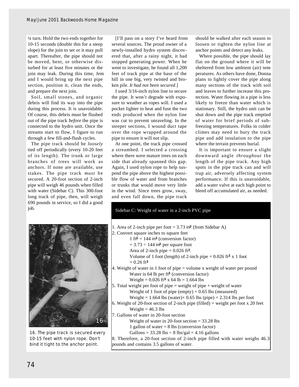¼ turn. Hold the two ends together for 10-15 seconds (double this for a steep slope) for the join to set or it may pull apart. Thereafter, the pipe should not be moved, bent, or otherwise disturbed for at least five minutes or the join may leak. During this time, Jem and I would bring up the next pipe section, position it, clean the ends, and prepare the next join.

Soil, small stones, and organic debris will find its way into the pipe during this process. It is unavoidable. Of course, this debris must be flushed out of the pipe track *before* the pipe is connected to the hydro unit. Once the streams start to flow, I figure to run through a few fill-and-flush cycles.

The pipe track should be *loosely* tied off periodically (every 10-20 feet of its length). The trunk or large branches of trees will work as anchors. If none are available, use stakes. The pipe track *must* be secured. A 20-foot section of 2-inch pipe will weigh 46 pounds when filled with water (Sidebar C). This 300-foot long track of pipe, then, will weigh 690 pounds in service, so I did a good job.

[I'll pass on a story I've heard from several sources. The proud owner of a newly-installed hydro system discovered that, after a rainy night, it had stopped generating power. When he went to investigate, he found all 1,200 feet of track pipe at the base of the hill in one big, very twisted and broken pile. *It had not been secured*.]

I used 3/16-inch nylon line to secure the pipe. It won't degrade with exposure to weather as ropes will. I used a pocket lighter to heat and fuse the two ends produced when the nylon line was cut to prevent unraveling. In the steeper sections, I wound duct tape over the rope wrapped around the pipe to ensure it will not slip.

At one point, the track pipe crossed a streambed. I selected a crossing where there were mature trees on each side that already spanned this gap. Again, I used nylon rope to help suspend the pipe above the highest possible flow of water and from branches or trunks that would move very little in the wind. Since trees grow, sway, and even fall down, the pipe track should be walked after each season to loosen or tighten the nylon line at anchor points and detect any leaks.

Where possible, the pipe should lay flat on the ground where it will be sheltered from low ambient (air) temperatures. As others have done, Donna plans to lightly cover the pipe along many sections of the track with soil and leaves to further increase this protection. Water flowing in a pipe is less likely to freeze than water which is stationary. Still, the hydro unit can be shut down and the pipe track emptied of water for brief periods of subfreezing temperatures. Folks in colder climes may need to bury the track pipe and add insulation to the pipe where the terrain prevents burial.

It is important to ensure a slight downward angle *throughout* the length of the pipe track. Any high spots in the pipe track can and will trap air, adversely affecting system performance. If this is unavoidable, add a water valve at each high point to bleed off accumulated air, as needed.



16. The pipe track is secured every 10-15 feet with nylon rope. Don't bind it tight to the anchor point.

#### Sidebar C: Weight of water in a 2-inch PVC pipe

- 1. Area of 2-inch pipe per foot = 3.73 in**<sup>2</sup>** (from Sidebar A) 2. Convert square inches to square feet 1 ft<sup>2</sup> = 144 in<sup>2</sup> (conversion factor)  $= 3.73 \div 144$  in<sup>2</sup> per square foot
	- Area of 2-inch pipe  $= 0.026$  ft<sup>2</sup>.
	- Volume of 1 foot (length) of 2-inch pipe  $= 0.026$  ft<sup>2</sup> x 1 foot  $= 0.26$  ft<sup>3</sup>
- 4. Weight of water in 1 foot of pipe = volume x weight of water per pound Water is 64 lb per ft **<sup>3</sup>** (conversion factor)
	- $Weight = 0.026 \text{ ft}^3 \times 64 \text{ lb} = 1.664 \text{ lbs}$
- 5. Total weight per foot of pipe = weight of pipe + weight of water Weight of 1 foot of pipe (empty) =  $0.65$  lbs (measured)
	- Weight = 1.664 lbs (water)+ 0.65 lbs (pipe) =  $2.314$  lbs per foot
- 6. Weight of 20-foot section of 2-inch pipe (filled) = weight per foot x 20 feet Weight  $= 46.3$  lbs
- 7. Gallons of water in 20-foot section
	- Weight of water in 20-foot section = 33.28 lbs
	- 1 gallon of water  $= 8$  lbs (conversion factor)
	- Gallons =  $33.28$  lbs  $\div 8$  lbs/gal =  $4.16$  gallons

8. Therefore, a 20-foot section of 2-inch pipe filled with water weighs 46.3 pounds and contains 3.5 gallons of water.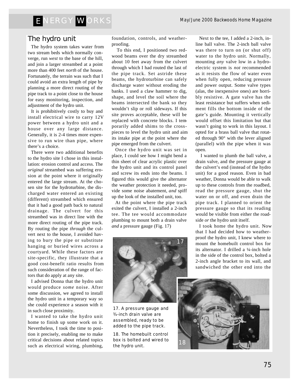# E NERGY WORKS

## The hydro unit

The hydro system takes water from two stream beds which normally converge, run *west* to the base of the hill, and join a larger streambed at a point more than 400 feet *north* of the house. Fortunately, the terrain was such that I could avoid an extra length of pipe by planning a more direct routing of the pipe track to a point close to the house for easy monitoring, inspection, and adjustment of the hydro unit.

It is prohibitively costly to buy and install electrical wire to carry 12V power between a hydro unit and a house over any large distance. Generally, it is 2-4 times more expensive to run wire than pipe, where there's a choice.

There were two additional benefits to the hydro site I chose in this installation: erosion control and access. The *original* streambed was suffering erosion at the point where it originally entered the large stream. At the chosen site for the hydroturbine, the discharged water entered an existing (different) streambed which ensured that it had a good path back to natural drainage. The culvert for this streambed was in direct line with the more direct routing of the pipe track. By routing the pipe *through* the culvert next to the house, I avoided having to bury the pipe or substitute hanging or buried wires across a courtyard. While these factors are site-specific, they illustrate that a good cost-benefit ratio results from such consideration of the range of factors that do apply at any site.

I advised Donna that the hydro unit would produce *some* noise. After some discussion, we agreed to install the hydro unit in a temporary way so she could experience a season with it in such close proximity.

I wanted to take the hydro unit home to finish up some work on it. Nevertheless, I took the time to position it precisely, enabling me to make critical decisions about related topics such as electrical wiring, plumbing,

foundation, controls, and weatherproofing.

To this end, I positioned two redwood beams over the dry streambed about 10 feet away from the culvert through which I had routed the last of the pipe track. Set astride these beams, the hydroturbine can safely discharge water without eroding the banks. I used a claw hammer to dig, shape, and level the soil where the beams intersected the bank so they wouldn't slip or roll sideways. If this site proves acceptable, these will be replaced with concrete blocks. I temporarily added shims to the crosspieces to level the hydro unit and aim its intake pipe at the point where the pipe emerged from the culvert.

Once the hydro unit was set in place, I could see how I might bend a thin sheet of clear acrylic plastic over the hydro unit and its control panel and screw its ends into the beams. I figured this would give the alternator the weather protection it needed, provide some noise abatement, *and* spiff up the look of the installed unit, too.

At the point where the pipe track exited the culvert, I installed a 2-inch tee. The tee would accommodate plumbing to mount both a drain valve *and* a pressure gauge (Fig. 17)



17. A pressure gauge and ¾-inch drain valve are assembled, ready to be added to the pipe track.

18. The homebuilt control box is bolted and wired to the hydro unit.

Next to the tee, I added a 2-inch, inline ball valve. The 2-inch ball valve was there to turn on (or shut off) water to the hydro unit. Normally, mounting *any* valve low in a hydroelectric system is *not* recommended as it resists the flow of water even when fully open, reducing pressure and power output. Some valve types (alas, the inexpensive ones) are horribly resistive. A gate valve has the least resistance but suffers when sediment fills the bottom inside of the gate's guide. Mounting it vertically would offset this limitation but that wasn't going to work in this layout. I opted for a brass ball valve that rotated through 90° with the lever aligned (parallel) with the pipe when it was open.

I wanted to plumb the ball valve, a drain valve, and the pressure gauge at the culvert's end (instead of the hydro unit) for a good reason. Even in bad weather, Donna would be able to walk up to these controls from the roadbed, read the pressure gauge, shut the water on or off, and even drain the pipe track. I planned to orient the pressure gauge so that its reading would be visible from either the roadside *or* the hydro unit itself.

I took home the hydro unit. Now that I had decided how to weatherproof the hydro unit, I knew where to mount the homebuilt control box for its alternator. I drilled a ¼-inch hole in the side of the control box, bolted a 2-inch angle bracket to its wall, and sandwiched the other end into the